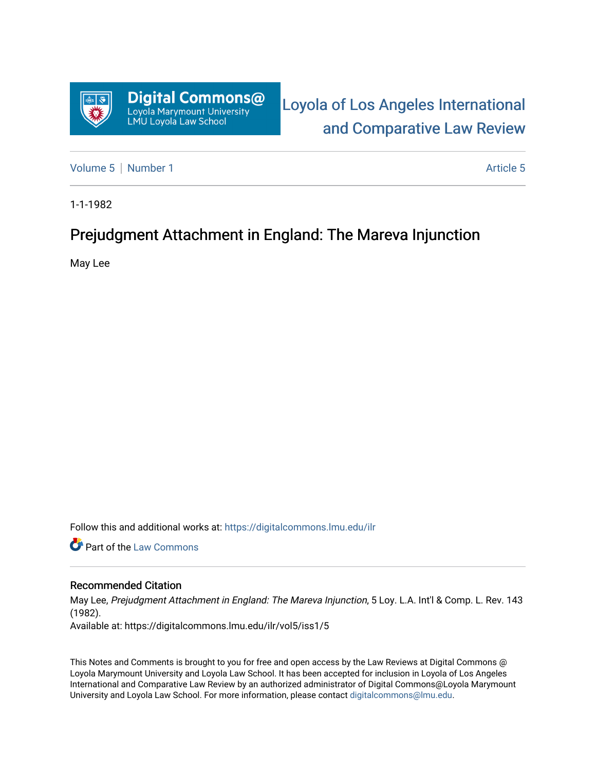

[Loyola of Los Angeles International](https://digitalcommons.lmu.edu/ilr)  [and Comparative Law Review](https://digitalcommons.lmu.edu/ilr) 

[Volume 5](https://digitalcommons.lmu.edu/ilr/vol5) | [Number 1](https://digitalcommons.lmu.edu/ilr/vol5/iss1) Article 5

1-1-1982

# Prejudgment Attachment in England: The Mareva Injunction

May Lee

Follow this and additional works at: [https://digitalcommons.lmu.edu/ilr](https://digitalcommons.lmu.edu/ilr?utm_source=digitalcommons.lmu.edu%2Filr%2Fvol5%2Fiss1%2F5&utm_medium=PDF&utm_campaign=PDFCoverPages) 

Part of the [Law Commons](http://network.bepress.com/hgg/discipline/578?utm_source=digitalcommons.lmu.edu%2Filr%2Fvol5%2Fiss1%2F5&utm_medium=PDF&utm_campaign=PDFCoverPages)

# Recommended Citation

May Lee, Prejudgment Attachment in England: The Mareva Injunction, 5 Loy. L.A. Int'l & Comp. L. Rev. 143 (1982). Available at: https://digitalcommons.lmu.edu/ilr/vol5/iss1/5

This Notes and Comments is brought to you for free and open access by the Law Reviews at Digital Commons @ Loyola Marymount University and Loyola Law School. It has been accepted for inclusion in Loyola of Los Angeles International and Comparative Law Review by an authorized administrator of Digital Commons@Loyola Marymount University and Loyola Law School. For more information, please contact [digitalcommons@lmu.edu.](mailto:digitalcommons@lmu.edu)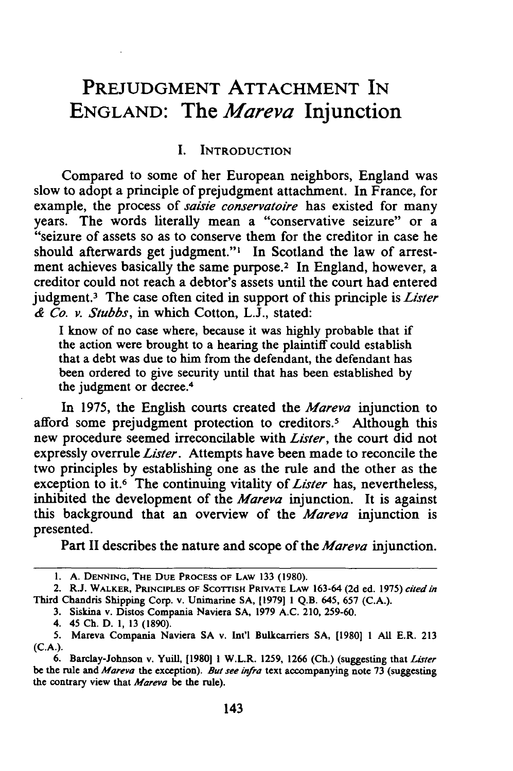# PREJUDGMENT **ATTACHMENT IN ENGLAND: The** *Mareva* **Injunction**

#### **I. INTRODUCTION**

Compared to some of her European neighbors, England was slow to adopt a principle of prejudgment attachment. In France, for example, the process of *saisie conservatoire* has existed for many years. The words literally mean a "conservative seizure" or a "seizure of assets so as to conserve them for the creditor in case he should afterwards get judgment."' In Scotland the law of arrestment achieves basically the same purpose.<sup>2</sup> In England, however, a creditor could not reach a debtor's assets until the court had entered judgment.3 The case often cited in support of this principle is *Lister* & *Co. v. Stubbs,* in which Cotton, L.J., stated:

I know of no case where, because it was highly probable that if the action were brought to a hearing the plaintiff could establish that a debt was due to him from the defendant, the defendant has been ordered to give security until that has been established by the judgment or decree.<sup>4</sup>

In **1975,** the English courts created the *Mareva* injunction to afford some prejudgment protection to creditors.<sup>5</sup> Although this new procedure seemed irreconcilable with *Lister,* the court did not expressly overrule *Lister.* Attempts have been made to reconcile the two principles **by** establishing one as the rule and the other as the exception to it.6 The continuing vitality of *Lister* has, nevertheless, inhibited the development of the *Mareva* injunction. It is against this background that an overview of the *Mareva* injunction is presented.

Part II describes the nature and scope of the *Mareva* injunction.

<sup>1.</sup> A. DENNING, THE DUE PROCESS OF LAW 133 (1980).

<sup>2.</sup> R.J. **WALKER, PRINCIPLES OF SCOTTISH PRIVATE LAW 163-64 (2d** ed. 1975) cited *in* Third Chandris Shipping Corp. v. Unimarine SA, **[1979] 1** Q.B. 645, 657 (C.A.).

**<sup>3.</sup>** Siskina v. Distos Compania Naviera **SA,** 1979 A.C. 210, **259-60.**

<sup>4. 45</sup> **Ch. D. 1, 13** (1890).

<sup>5.</sup> Mareva Compania Naviera SA v. Int'l Bulkcarriers SA, **[1980] 1 All** E.R. **213** (C.A.).

<sup>6.</sup> **Barclay-Johnson** v. Yuill, **[1980] 1** W.L.R. **1259,** 1266 **(Ch.)** (suggesting that Lister **be the** rule and *Mareva* **the** exception). **But** see infra text accompanying **note** 73 **(suggesting the** contrary view **that** *Mareva* **be the** rule).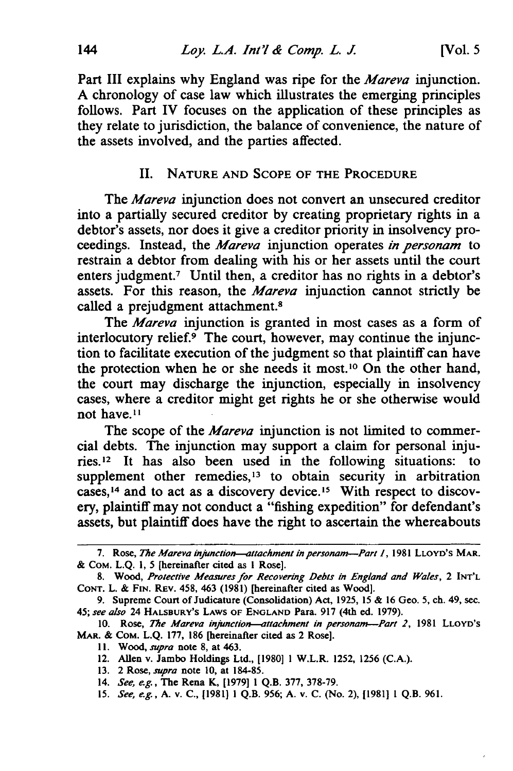Part III explains why England was ripe for the *Mareva* injunction. A chronology of case law which illustrates the emerging principles follows. Part IV focuses on the application of these principles as they relate to jurisdiction, the balance of convenience, the nature of the assets involved, and the parties affected.

#### II. **NATURE AND SCOPE OF THE PROCEDURE**

The *Mareva* injunction does not convert an unsecured creditor into a partially secured creditor by creating proprietary rights in a debtor's assets, nor does it give a creditor priority in insolvency proceedings. Instead, the *Mareva* injunction operates *in personam* to restrain a debtor from dealing with his or her assets until the court enters judgment.<sup>7</sup> Until then, a creditor has no rights in a debtor's assets. For this reason, the *Mareva* injunction cannot strictly be called a prejudgment attachment.<sup>8</sup>

The *Mareva* injunction is granted in most cases as a form of interlocutory relief. $9$  The court, however, may continue the injunction to facilitate execution of the judgment so that plaintiff can have the protection when he or she needs it most.'0 On the other hand, the court may discharge the injunction, especially in insolvency cases, where a creditor might get rights he or she otherwise would not have. **I**

The scope of the *Mareva* injunction is not limited to commercial debts. The injunction may support a claim for personal injuries.<sup>12</sup> It has also been used in the following situations: to supplement other remedies, $13$  to obtain security in arbitration cases,<sup>14</sup> and to act as a discovery device.<sup>15</sup> With respect to discovery, plaintiff may not conduct a "fishing expedition" for defendant's assets, but plaintiff does have the right to ascertain the whereabouts

- **13.** 2 Rose, *supra* note **10,** at **184-85.**
- 14. *See, e.g.,* The Rena K, [1979] 1 Q.B. **377, 378-79.**
- **15.** *See, e.g.,* A. v. C., [1981] 1 **Q.B.** 956; **A.** v. **C.** (No. **2),** [1981] 1 Q.B. 961.

**<sup>7.</sup>** Rose, *The Mareva injunction-attachment in personam-Part 1,* **1981 LLOYD'S MAR. &** CoM. **L.Q. 1,** 5 [hereinafter cited as I Rose].

**<sup>8.</sup>** Wood, *Protective Measures for* Recovering Debts *in England and Wales,* 2 **INT'L CONT.** L. **&** FIN. REv. 458, 463 (1981) [hereinafter cited as Wood].

<sup>9.</sup> Supreme Court of Judicature (Consolidation) Act, 1925, 15 & **16** Geo. 5, ch. 49, sec. 45; *see also* 24 **HALSBURY'S LAWS OF ENGLAND** Para. **917** (4th ed. 1979).

**<sup>10.</sup>** Rose, *The Mareva injunction-attachment in personam-Part 2,* **<sup>1981</sup>**LLOYD'S **MAR.** & COM. L.Q. **177, 186** [hereinafter cited as 2 Rose].

**<sup>11.</sup>** *Wood, supra* note **8,** at 463.

<sup>12.</sup> Allen v. Jambo Holdings Ltd., [1980] **1** W.L.R. 1252, 1256 (C.A.).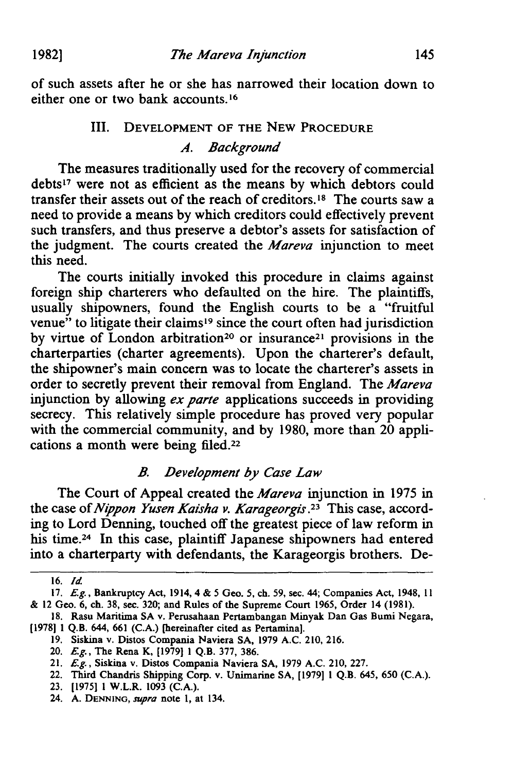**19821**

of such assets after he or she has narrowed their location down to either one or two bank accounts.16

# III. DEVELOPMENT OF THE NEW PROCEDURE

*A. Background*

The measures traditionally used for the recovery of commercial debts<sup>17</sup> were not as efficient as the means by which debtors could transfer their assets out of the reach of creditors.18 The courts saw a need to provide a means by which creditors could effectively prevent such transfers, and thus preserve a debtor's assets for satisfaction of the judgment. The courts created the *Mareva* injunction to meet this need.

The courts initially invoked this procedure in claims against foreign ship charterers who defaulted on the hire. The plaintiffs, usually shipowners, found the English courts to be a "fruitful venue" to litigate their claims<sup>19</sup> since the court often had jurisdiction by virtue of London arbitration<sup>20</sup> or insurance<sup>21</sup> provisions in the charterparties (charter agreements). Upon the charterer's default, the shipowner's main concern was to locate the charterer's assets in order to secretly prevent their removal from England. The *Mareva* injunction by allowing *ex parte* applications succeeds in providing secrecy. This relatively simple procedure has proved very popular with the commercial community, and by 1980, more than 20 applications a month were being filed.<sup>22</sup>

## *B. Development by Case Law*

The Court of Appeal created the *Mareva* injunction in 1975 in the case of *Nippon Yusen Kaisha v. Karageorgis.23* This case, according to Lord Denning, touched off the greatest piece of law reform in his time.<sup>24</sup> In this case, plaintiff Japanese shipowners had entered into a charterparty with defendants, the Karageorgis brothers. De-

<sup>16.</sup> *Id*

<sup>17.</sup> *Eg.,* Bankruptcy Act, 1914, 4 & 5 Geo. 5, ch. 59, sec. 44; Companies Act, 1948, 11 & 12 Geo. 6, ch. 38, sec. 320; and Rules of the Supreme Court 1965, Order 14 (1981).

<sup>18.</sup> Rasu Maritima SA v. Perusahaan Pertambangan Minyak Dan Gas Bumi Negara, [1978] 1 Q.B. 644, **661** (C.A.) [hereinafter cited as Pertamina].

**<sup>19.</sup>** Siskina v. Distos Compania Naviera SA, 1979 A.C. 210, 216.

<sup>20.</sup> *Eg.,* The Rena K, [1979] 1 Q.B. 377, 386.

<sup>21.</sup> *Eg.,* Siskina v. Distos Compania Naviera SA, 1979 A.C. 210, 227.

<sup>22.</sup> Third Chandris Shipping Corp. v. Unimarine SA, [1979] 1 Q.B. 645, **650** (C.A.).

<sup>23. [1975] 1</sup> W.L.R. 1093 (C.A.).

<sup>24.</sup> **A. DENNING,** *supra* note **1,** at 134.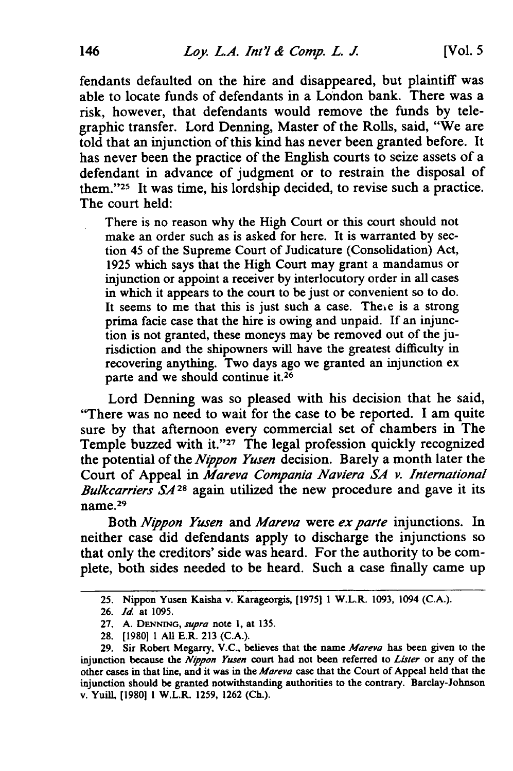fendants defaulted on the hire and disappeared, but plaintiff was able to locate funds of defendants in a London bank. There was a risk, however, that defendants would remove the funds **by** telegraphic transfer. Lord Denning, Master of the Rolls, said, "We are told that an injunction of this kind has never been granted before. It has never been the practice of the English courts to seize assets of a defendant in advance of judgment or to restrain the disposal of them."<sup>25</sup> It was time, his lordship decided, to revise such a practice. The court held:

There is no reason why the High Court or this court should not make an order such as is asked for here. It is warranted **by** section 45 of the Supreme Court of Judicature (Consolidation) Act, **1925** which says that the High Court may grant a mandamus or injunction or appoint a receiver **by** interlocutory order in all cases in which it appears to the court to be just or convenient so to do. It seems to me that this is just such a case. There is a strong prima facie case that the hire is owing and unpaid. If an injunction is not granted, these moneys may be removed out of the jurisdiction and the shipowners will have the greatest difficulty in recovering anything. Two days ago we granted an injunction ex parte and we should continue **it.26**

Lord Denning was so pleased with his decision that he said, "There was no need to wait for the case to be reported. I am quite sure **by** that afternoon every commercial set of chambers in The Temple buzzed with **it.'' <sup>27</sup>**The legal profession quickly recognized the potential of the *Nippon Yusen* decision. Barely a month later the Court of Appeal in *Mareva Compania Naviera SA v. International Bulkcarriers SA <sup>28</sup>*again utilized the new procedure and gave it its  $m$ name.<sup>29</sup>

Both *Nippon Yusen* and *Mareva* were *ex parte* injunctions. In neither case did defendants apply to discharge the injunctions so that only the creditors' side was heard. For the authority to be complete, both sides needed to be heard. Such a case finally came up

**<sup>25.</sup>** Nippon Yusen Kaisha v. Karageorgis, **[1975] 1 W.L.R. 1093, 1094 (C.A.).**

**<sup>26.</sup>** *Id.* at **1095.**

**<sup>27.</sup> A.** DENNING, *supra* note **1,** at **135.**

<sup>28. [1980] 1</sup> All E.R. **213** (C.A.).

**<sup>29.</sup>** Sir Robert Megarry, V.C., believes that the name *Mareva* has been given to the injunction because the *Nippon Yusen* court had not been referred to *Lister* or any of the other cases in that line, and it was in the *Mareva* case that the Court of Appeal held that the injunction should be granted notwithstanding authorities to the contrary. Barclay-Johnson v. Yuill, **[1980] 1** W.L.R. **1259, 1262** (Ch.).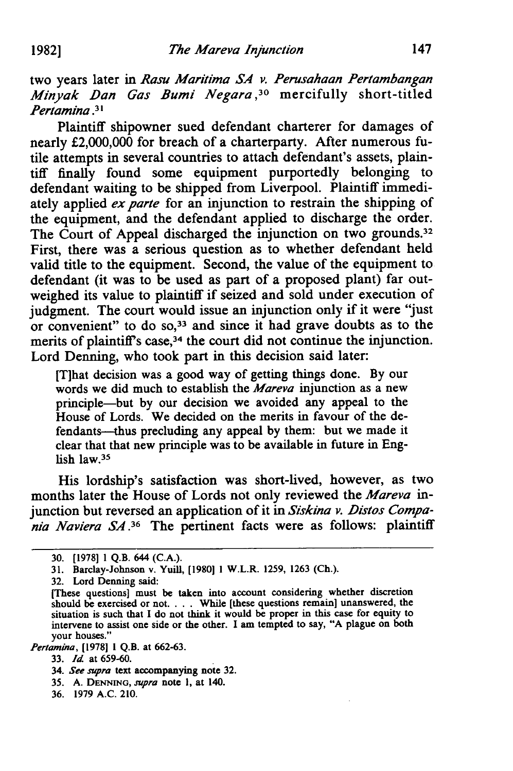two years later in *Rasu Maritima SA v. Perusahaan Pertambangan Minyak Dan Gas Bumi Negara,30* mercifully short-titled *Pertamina* .3

Plaintiff shipowner sued defendant charterer for damages of nearly £2,000,000 for breach of a charterparty. After numerous futile attempts in several countries to attach defendant's assets, plaintiff finally found some equipment purportedly belonging to defendant waiting to be shipped from Liverpool. Plaintiff immediately applied *ex parte* for an injunction to restrain the shipping of the equipment, and the defendant applied to discharge the order. The Court of Appeal discharged the injunction on two grounds.<sup>32</sup> First, there was a serious question as to whether defendant held valid title to the equipment. Second, the value of the equipment to defendant (it was to be used as part of a proposed plant) far outweighed its value to plaintiff if seized and sold under execution of judgment. The court would issue an injunction only if it were "just or convenient" to do **so,33** and since it had grave doubts as to the merits of plaintiff's case,<sup>34</sup> the court did not continue the injunction. Lord Denning, who took part in this decision said later:

IT]hat decision was a good way of getting things done. By our words we did much to establish the *Mareva* injunction as a new principle-but by our decision we avoided any appeal to the House of Lords. We decided on the merits in favour of the defendants--thus precluding any appeal by them: but we made it clear that that new principle was to be available in future in English law.<sup>35</sup>

His lordship's satisfaction was short-lived, however, as two months later the House of Lords not only reviewed the *Mareva* **in**junction but reversed an application of it in *Siskina v. Distos Compa*nia *Naviera S4.36* The pertinent facts were as follows: plaintiff

*Pertamina,* **[1978] 1 Q.B.** at **662-63.**

<sup>30. [19781 1</sup> Q.B. 644 (C.A.).

<sup>31.</sup> Barclay-Johnson v. Yuill, [1980] 1 W.L.R. 1259, 1263 (Ch.).

**<sup>32.</sup>** Lord Denning said:

<sup>[</sup>These questions] must be taken into account considering whether discretion should be exercised or not. . **.** . While [these questions remain] unanswered, the situation is such that I do not think it would be proper in this case for equity to intervene to assist one side or the other. I am tempted to say, **"A** plague on both your houses."

**<sup>33.</sup>** *Id* at **659-60.**

<sup>34.</sup> *See supra* text accompanying note **32.**

**<sup>35.</sup> A. DENNING,** *supra* note **1,** at 140.

**<sup>36. 1979</sup> A.C.** 210.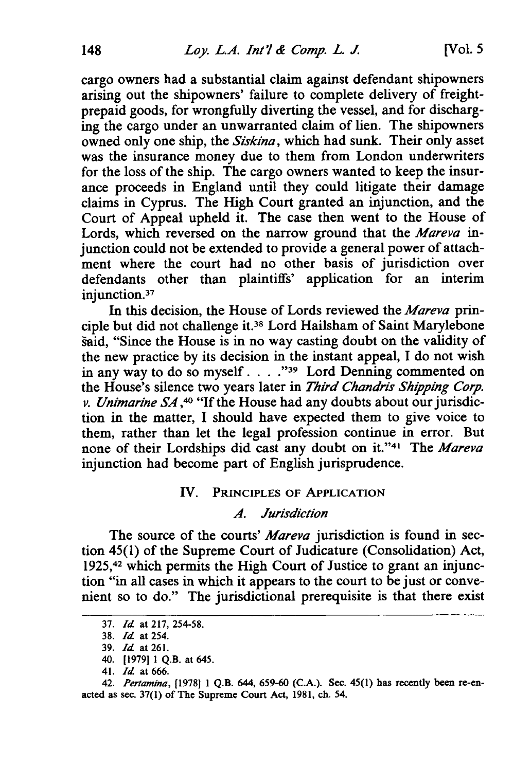cargo owners had a substantial claim against defendant shipowners arising out the shipowners' failure to complete delivery of freightprepaid goods, for wrongfully diverting the vessel, and for discharging the cargo under an unwarranted claim of lien. The shipowners owned only one ship, the *Siskina,* which had sunk. Their only asset was the insurance money due to them from London underwriters for the loss of the ship. The cargo owners wanted to keep the insurance proceeds in England until they could litigate their damage claims in Cyprus. The High Court granted an injunction, and the Court of Appeal upheld it. The case then went to the House of Lords, which reversed on the narrow ground that the *Mareva in*junction could not be extended to provide a general power of attachment where the court had no other basis of jurisdiction over defendants other than plaintiffs' application for an interim injunction.<sup>37</sup>

In this decision, the House of Lords reviewed the *Mareva prin*ciple but did not challenge it.38 Lord Hailsham of Saint Marylebone said, "Since the House is in no way casting doubt on the validity of the new practice by its decision in the instant appeal, I do not wish in any way to do so myself. . . . "<sup>39</sup> Lord Denning commented on the House's silence two years later in *Third Chandris Shipping Corp. v. Unimarine SA*,<sup>40</sup> "If the House had any doubts about our jurisdiction in the matter, I should have expected them to give voice to them, rather than let the legal profession continue in error. But none of their Lordships did cast any doubt on it."<sup>41</sup> The *Mareva* injunction had become part of English jurisprudence.

#### IV. PRINCIPLES OF APPLICATION

#### *.4. Jurisdiction*

The source of the courts' Mareva jurisdiction is found in section 45(1) of the Supreme Court of Judicature (Consolidation) Act, 1925,42 which permits the High Court of Justice to grant an injunction "in all cases in which it appears to the court to be just or convenient so to do." The jurisdictional prerequisite is that there exist

<sup>37.</sup> *Id* at 217, 254-58.

<sup>38.</sup> *Id* at 254.

<sup>39.</sup> *Id* at 261.

<sup>40.</sup> [1979] 1 Q.B. at 645.

<sup>41.</sup> *Id* at 666.

<sup>42.</sup> *Pertamina,* [1978] 1 Q.B. 644, 659-60 (C.A.). Sec. 45(1) has recently been re-enacted as sec. 37(1) of The Supreme Court Act, **1981,** ch. 54.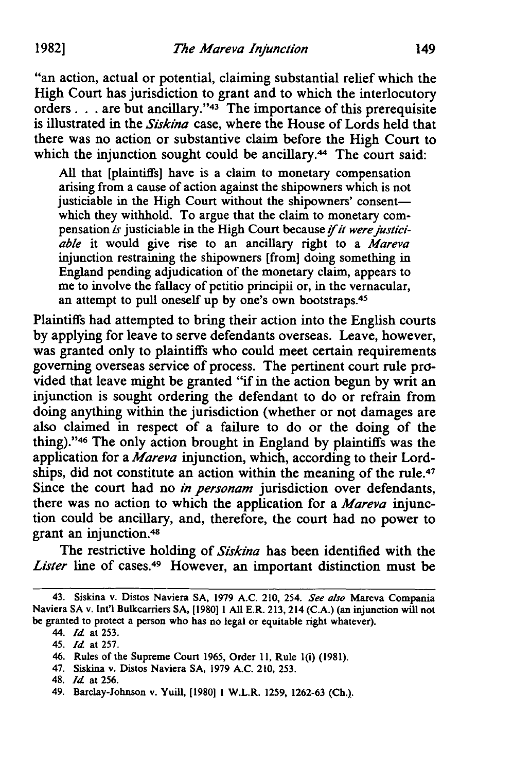"an action, actual or potential, claiming substantial relief which the High Court has jurisdiction to grant and to which the interlocutory orders. **. .** are but ancillary." 43 The importance of this prerequisite is illustrated in the *Siskina* case, where the House of Lords held that there was no action or substantive claim before the High Court to which the injunction sought could be ancillary.<sup>44</sup> The court said:

All that [plaintiffs] have is a claim to monetary compensation arising from a cause of action against the shipowners which is not justiciable in the High Court without the shipowners' consentwhich they withhold. To argue that the claim to monetary compensation is justiciable in the High Court because *if it were justiciable* it would give rise to an ancillary right to a *Mareva* injunction restraining the shipowners [from] doing something in England pending adjudication of the monetary claim, appears to me to involve the fallacy of petitio principii or, in the vernacular, an attempt to pull oneself up by one's own bootstraps.<sup>45</sup>

Plaintiffs had attempted to bring their action into the English courts by applying for leave to serve defendants overseas. Leave, however, was granted only to plaintiffs who could meet certain requirements governing overseas service of process. The pertinent court rule provided that leave might be granted "if in the action begun by writ an injunction is sought ordering the defendant to do or refrain from doing anything within the jurisdiction (whether or not damages are also claimed in respect of a failure to do or the doing of the thing)." 46 The only action brought in England by plaintiffs was the application for a *Mareva* injunction, which, according to their Lordships, did not constitute an action within the meaning of the rule.<sup>47</sup> Since the court had no *in personam* jurisdiction over defendants, there was no action to which the application for a *Mareva* injunction could be ancillary, and, therefore, the court had no power to grant an injunction.48

The restrictive holding of *Siskina* has been identified with the *Lister* line of cases.49 However, an important distinction must be

47. Siskina v. Distos Naviera SA, 1979 A.C. 210, 253.

<sup>43.</sup> Siskina v. Distos Naviera SA, 1979 A.C. 210, 254. *See also* Mareva Compania Naviera SA v. Int'l Bulkcarriers SA, [1980] 1 All E.R. 213, 214 (C.A.) (an injunction will not be granted to protect a person who has no legal or equitable right whatever).

<sup>44.</sup> *Id* at **253.**

<sup>45.</sup> *Id* at 257.

<sup>46.</sup> Rules of the Supreme Court 1965, Order 11, Rule l(i) (1981).

<sup>48.</sup> *Id* at 256.

<sup>49.</sup> Barclay-Johnson v. YuiU, [1980] 1 W.L.R. 1259, 1262-63 (Ch.).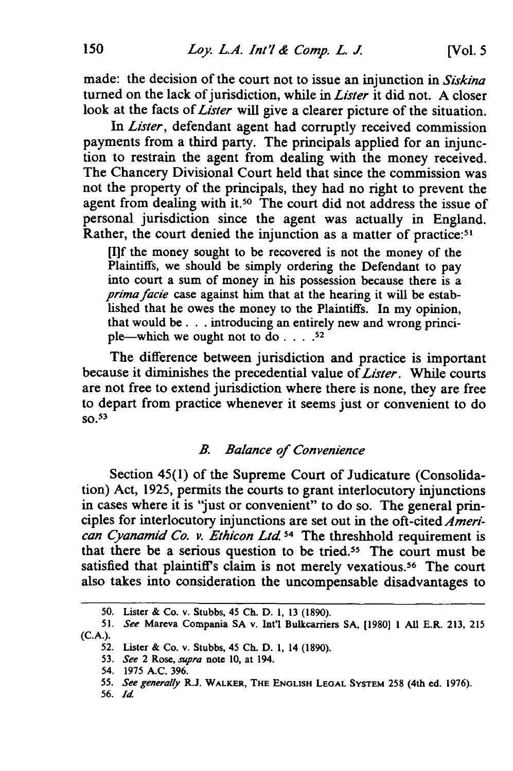made: the decision of the court not to issue an injunction in *Siskina* turned on the lack of jurisdiction, while in *Lister* it did not. A closer look at the facts of *Lister* will give a clearer picture of the situation.

In *Lister,* defendant agent had corruptly received commission payments from a third party. The principals applied for an injunction to restrain the agent from dealing with the money received. The Chancery Divisional Court held that since the commission was not the property of the principals, they had no right to prevent the agent from dealing with it.<sup>50</sup> The court did not address the issue of personal jurisdiction since the agent was actually in England. Rather, the court denied the injunction as a matter of practice:<sup>51</sup>

**[11f** the money sought to be recovered is not the money of the Plaintiffs, we should be simply ordering the Defendant to pay into court a sum of money in his possession because there is a *primafacie* case against him that at the hearing it will be established that he owes the money to the Plaintiffs. In my opinion, that would be. **.** .introducing an entirely new and wrong principle-which we ought not to **do. .... 52**

The difference between jurisdiction and practice is important because it diminishes the precedential value of *Lister.* While courts are not free to extend jurisdiction where there is none, they are free to depart from practice whenever it seems just or convenient to do  $SO<sub>2</sub>$ <sup>53</sup>

### *B. Balance of Convenience*

Section 45(1) of the Supreme Court of Judicature (Consolidation) Act, 1925, permits the courts to grant interlocutory injunctions in cases where it is "just or convenient" to do so. The general principles for interlocutory injunctions are set out in the oft-cited *American Cyanamid Co. v. Ethicon Ltd <sup>54</sup>*The threshhold requirement is that there be a serious question to be tried.<sup>55</sup> The court must be satisfied that plaintiff's claim is not merely vexatious.<sup>56</sup> The court also takes into consideration the uncompensable disadvantages to

<sup>50.</sup> Lister & Co. v. Stubbs, 45 **Ch.** D. 1, 13 (1890).

**<sup>51.</sup>** *See* Mareva Compania **SA** v. **Int'l** Bulkcarriers **SA, [1980] 1 All** E.R. **213, 215** (C.A.).

**<sup>52.</sup>** Lister & Co. v. Stubbs, 45 Ch. **D.** 1, 14 (1890).

<sup>53.</sup> *See* 2 Rose, *supra* note 10, at 194.

<sup>54.</sup> **1975** A.C. 396.

**<sup>55.</sup>** *See generaly* R.J. **WALKER, THE ENGLISH LEGAL SYSTEM 258** (4th ed. **1976).**

<sup>56.</sup> *Id*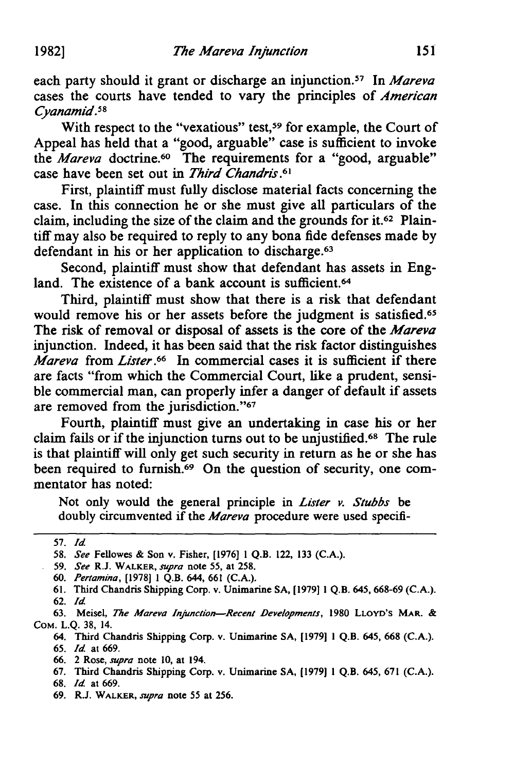each party should it grant or discharge an injunction.57 In *Mareva* cases the courts have tended to vary the principles of *American Cyanamid.5 <sup>8</sup>*

With respect to the "vexatious" test,<sup>59</sup> for example, the Court of Appeal has held that a "good, arguable" case is sufficient to invoke the *Mareva* doctrine.<sup>60</sup> The requirements for a "good, arguable" case have been set out in *Third Chandris.61*

First, plaintiff must fully disclose material facts concerning the case. In this connection he or she must give all particulars of the claim, including the size of the claim and the grounds for it.62 Plaintiff may also be required to reply to any bona fide defenses made by defendant in his or her application to discharge.<sup>63</sup>

Second, plaintiff must show that defendant has assets in England. The existence of a bank account is sufficient.<sup>64</sup>

Third, plaintiff must show that there is a risk that defendant would remove his or her assets before the judgment is satisfied.<sup>65</sup> The risk of removal or disposal of assets is the core of the *Mareva* injunction. Indeed, it has been said that the risk factor distinguishes *Mareva* from *Lister.66* In commercial cases it is sufficient if there are facts "from which the Commercial Court, like a prudent, sensible commercial man, can properly infer a danger of default if assets are removed from the jurisdiction."<sup>67</sup>

Fourth, plaintiff must give an undertaking in case his or her claim fails or if the injunction turns out to be unjustified.68 The rule is that plaintiff will only get such security in return as he or she has been required to furnish.<sup>69</sup> On the question of security, one commentator has noted:

Not only would the general principle in Lister *v. Stubbs* be doubly circumvented if the *Mareva* procedure were used specifi-

63. Meisel, *The Mareva Injunetion-Recent Developments,* 1980 LLOYD'S MAR. & COM. L.Q. 38, 14.

68. *Id* at 669.

<sup>57.</sup> *Id*

<sup>58.</sup> *See* Fellowes & Son v. Fisher, [1976] 1 Q.B. 122, 133 (C.A.).

<sup>59.</sup> *See* R.J. WALKER, supra note 55, at 258.

<sup>60.</sup> *Pertamina,* [1978] 1 Q.B. 644, 661 (C.A.).

<sup>61.</sup> Third Chandris Shipping Corp. v. Unimarine SA, [1979] 1 Q.B. 645, 668-69 (C.A.).

<sup>62.</sup> *Id*

<sup>64.</sup> Third Chandris Shipping Corp. v. Unimarine **SA,** [1979] 1 **Q.B.** 645, 668 **(C.A.).**

<sup>65.</sup> *Id* at 669.

<sup>66. 2</sup> Rose, supra note **10,** at 194.

<sup>67.</sup> Third Chandris Shipping Corp. v. Unimarine SA, [1979] 1 Q.B. 645, 671 (C.A.).

<sup>69.</sup> R.J. WALKER, supra note 55 at 256.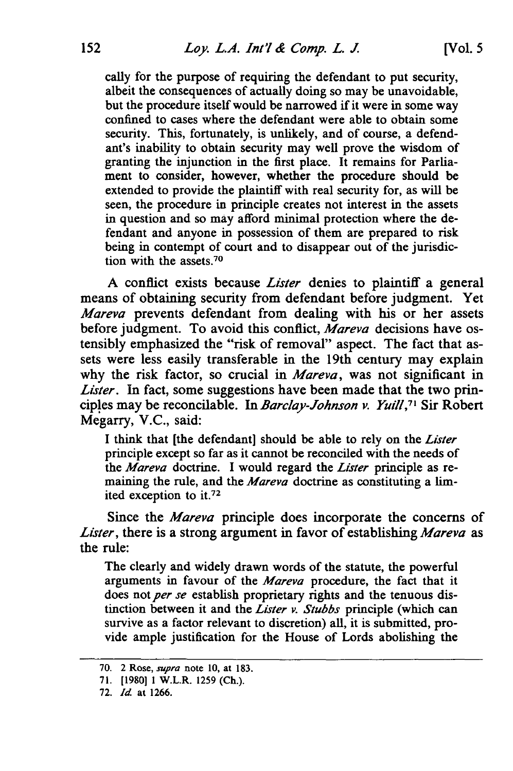cally for the purpose of requiring the defendant to put security, albeit the consequences of actually doing so may be unavoidable, but the procedure itself would be narrowed if it were in some way confined to cases where the defendant were able to obtain some security. This, fortunately, is unlikely, and of course, a defendant's inability to obtain security may well prove the wisdom of granting the injunction in the first place. It remains for Parliament to consider, however, whether the procedure should be extended to provide the plaintiff with real security for, as will be seen, the procedure in principle creates not interest in the assets in question and so may afford minimal protection where the defendant and anyone in possession of them are prepared to risk being in contempt of court and to disappear out of the jurisdiction with the assets. <sup>70</sup>

A conflict exists because *Lister* denies to plaintiff a general means of obtaining security from defendant before judgment. Yet *Mareva* prevents defendant from dealing with his or her assets before judgment. To avoid this conflict, *Mareva* decisions have ostensibly emphasized the "risk of removal" aspect. The fact that assets were less easily transferable in the 19th century may explain why the risk factor, so crucial in *Mareva,* was not significant in *Lister.* In fact, some suggestions have been made that the two principles may be reconcilable. In *Barclay-Johnson v. Yuifl, 71* Sir Robert Megarry, V.C., said:

**I** think that [the defendant] should be able to rely on the *Lister* principle except so far as it cannot be reconciled with the needs of the *Mareva* doctrine. I would regard the *Lister* principle as remaining the rule, and the *Mareva* doctrine as constituting a limited exception to **it.72**

Since the *Mareva* principle does incorporate the concerns of *Lister,* there is a strong argument in favor of establishing *Mareva* as the rule:

The clearly and widely drawn words of the statute, the powerful arguments in favour of the *Mareva* procedure, the fact that it does not per se establish proprietary rights and the tenuous distinction between it and the *Lister v. Stubbs* principle (which can survive as a factor relevant to discretion) all, it is submitted, provide ample justification for the House of Lords abolishing the

<sup>70. 2</sup> Rose, *supra* note 10, at 183.

<sup>71. [1980]</sup> **1** W.L.R. 1259 (Ch.).

<sup>72.</sup> *Id.* at 1266.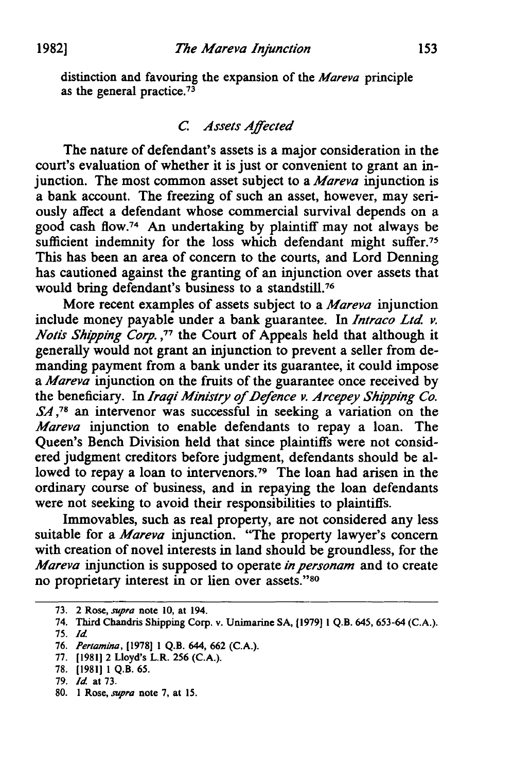distinction and favouring the expansion of the *Mareva* principle as the general practice.<sup>73</sup>

### *C. Assets Affected*

The nature of defendant's assets is a major consideration in the court's evaluation of whether it is just or convenient to grant an injunction. The most common asset subject to a *Mareva* injunction is a bank account. The freezing of such an asset, however, may seriously affect a defendant whose commercial survival depends on a good cash flow.<sup>74</sup> An undertaking by plaintiff may not always be sufficient indemnity for the loss which defendant might suffer.<sup>75</sup> This has been an area of concern to the courts, and Lord Denning has cautioned against the granting of an injunction over assets that would bring defendant's business to a standstill.<sup>76</sup>

More recent examples of assets subject to a *Mareva* injunction include money payable under a bank guarantee. In *Intraco Ltd v. Notis Shipping Corp.*,<sup>77</sup> the Court of Appeals held that although it generally would not grant an injunction to prevent a seller from demanding payment from a bank under its guarantee, it could impose *a Mareva* injunction on the fruits of the guarantee once received by the beneficiary. In *Iraqi Ministry of Defence v. Arcepey Shipping Co. SA,78* an intervenor was successful in seeking a variation on the *Mareva* injunction to enable defendants to repay a loan. The Queen's Bench Division held that since plaintiffs were not considered judgment creditors before judgment, defendants should be allowed to repay a loan to intervenors.79 The loan had arisen in the ordinary course of business, and in repaying the loan defendants were not seeking to avoid their responsibilities to plaintiffs.

Immovables, such as real property, are not considered any less suitable for a *Mareva* injunction. "The property lawyer's concern with creation of novel interests in land should be groundless, for the *Mareva* injunction is supposed to operate *inpersonam* and to create no proprietary interest in or lien over assets."80

**80. 1** Rose, *supra* note **7,** at 15.

<sup>73. 2</sup> Rose, *supra* note 10, at 194.

<sup>74.</sup> Third Chandris Shipping Corp. v. Unimarine SA, [1979] I Q.B. 645, 653-64 (C.A.).

<sup>75.</sup> *Id*

<sup>76.</sup> *Pertamina,* [1978] 1 Q.B. 644, 662 (C.A.).

<sup>77. [1981] 2</sup> Lloyd's L.R. 256 (C.A.).

<sup>78. [19811 1</sup> Q.B. 65.

<sup>79.</sup> *Id* at 73.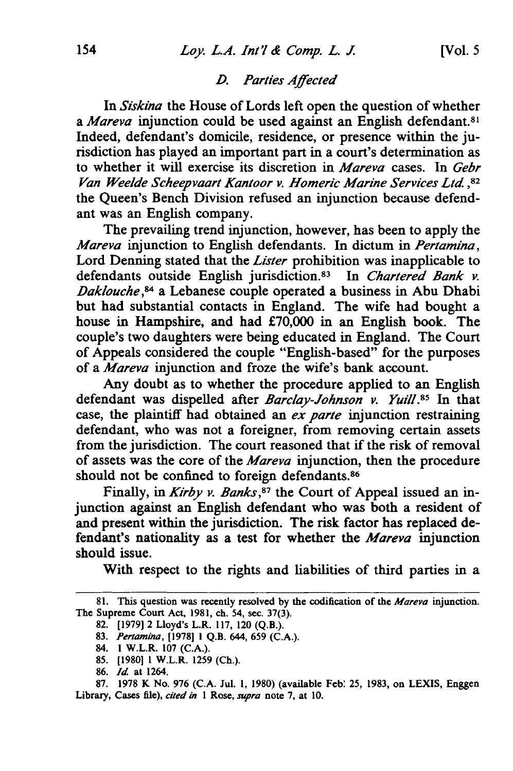In *Siskina* the House of Lords left open the question of whether a Mareva injunction could be used against an English defendant.<sup>8</sup> Indeed, defendant's domicile, residence, or presence within the jurisdiction has played an important part in a court's determination as to whether it will exercise its discretion in *Mareva* cases. In *Gebr Van Weelde Scheepvaart Kantoor v. Homeric Marine Services Ltd* **,82** the Queen's Bench Division refused an injunction because defendant was an English company.

The prevailing trend injunction, however, has been to apply the *Mareva* injunction to English defendants. In dictum in *Pertamina,* Lord Denning stated that the *Lister* prohibition was inapplicable to defendants outside English jurisdiction. 83 In *Chartered Bank v. Daklouche,84* a Lebanese couple operated a business in Abu Dhabi but had substantial contacts in England. The wife had bought a house in Hampshire, and had £70,000 in an English book. The couple's two daughters were being educated in England. The Court of Appeals considered the couple "English-based" for the purposes of a *Mareva* injunction and froze the wife's bank account.

Any doubt as to whether the procedure applied to an English defendant was dispelled after *Barclay-Johnson v. Yuill.85* In that case, the plaintiff had obtained an *ex parte* injunction restraining defendant, who was not a foreigner, from removing certain assets from the jurisdiction. The court reasoned that if the risk of removal of assets was the core of the *Mareva* injunction, then the procedure should not be confined to foreign defendants.<sup>86</sup>

Finally, in *Kirby v. Banks*,<sup>87</sup> the Court of Appeal issued an injunction against an English defendant who was both a resident of and present within the jurisdiction. The risk factor has replaced defendant's nationality as a test for whether the *Mareva* injunction should issue.

With respect to the rights and liabilities of third parties in a

**83.** *Pertamina,* [1978] 1 Q.B. 644, 659 (C.A.).

**<sup>81.</sup>** This question was recently resolved **by** the codification of the *Mareva* injunction. The Supreme Court Act, 1981, ch. 54, sec. 37(3).

<sup>82.</sup> **[1979]** 2 Lloyd's L.R. **117, 120** (Q.B.).

<sup>84. 1</sup> W.L.R. 107 (C.A.).

<sup>85. [1980] 1</sup> W.L.R. 1259 (Ch.).

<sup>86.</sup> *Id* at 1264.

**<sup>87.</sup>** 1978 K No. 976 (C.A. Jul. 1, 1980) (available Feb' 25, 1983, on LEXIS, Enggen Library, Cases file), *cited in* 1 Rose, *supra* note 7, at 10.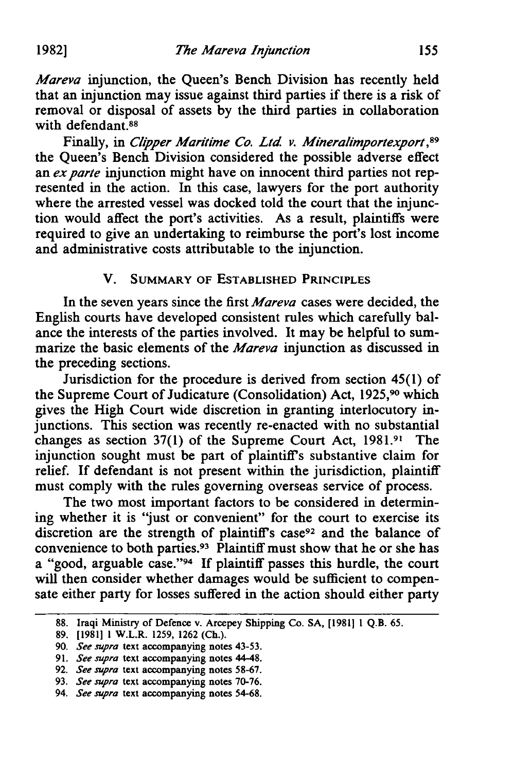*Mareva* injunction, the Queen's Bench Division has recently held that an injunction may issue against third parties if there is a risk of removal or disposal of assets by the third parties in collaboration with defendant.<sup>88</sup>

Finally, in *Clipper Maritime Co. Ltd. v. Mineralimportexport*,<sup>89</sup> the Queen's Bench Division considered the possible adverse effect an *ex parte* injunction might have on innocent third parties not represented in the action. In this case, lawyers for the port authority where the arrested vessel was docked told the court that the injunction would affect the port's activities. As a result, plaintiffs were required to give an undertaking to reimburse the port's lost income and administrative costs attributable to the injunction.

#### V. SUMMARY OF ESTABLISHED PRINCIPLES

In the seven years since the first *Mareva* cases were decided, the English courts have developed consistent rules which carefully balance the interests of the parties involved. It may be helpful to summarize the basic elements of the *Mareva* injunction as discussed in the preceding sections.

Jurisdiction for the procedure is derived from section 45(1) of the Supreme Court of Judicature (Consolidation) Act, 1925,90 which gives the High Court wide discretion in granting interlocutory injunctions. This section was recently re-enacted with no substantial changes as section 37(1) of the Supreme Court Act, **1981.91** The injunction sought must be part of plaintiff's substantive claim for relief. If defendant is not present within the jurisdiction, plaintiff must comply with the rules governing overseas service of process.

The two most important factors to be considered in determining whether it is "just or convenient" for the court to exercise its discretion are the strength of plaintiff's case<sup>92</sup> and the balance of convenience to both parties.93 Plaintiff must show that he or she has a "good, arguable case."<sup>94</sup> If plaintiff passes this hurdle, the court will then consider whether damages would be sufficient to compensate either party for losses suffered in the action should either party

<sup>88.</sup> Iraqi Ministry of Defence v. Arcepey Shipping Co. **SA,** [19811 1 Q.B. **65.**

<sup>89. [1981] 1</sup> W.L.R. 1259, 1262 (Ch.).

<sup>90.</sup> *See supra* text accompanying notes 43-53.

**<sup>91.</sup>** *See supra* text accompanying notes 44-48.

**<sup>92.</sup>** *See supra* text accompanying notes **58-67.**

**<sup>93.</sup>** *See supra* text accompanying notes 70-76.

<sup>94.</sup> *See supra* text accompanying notes **54-68.**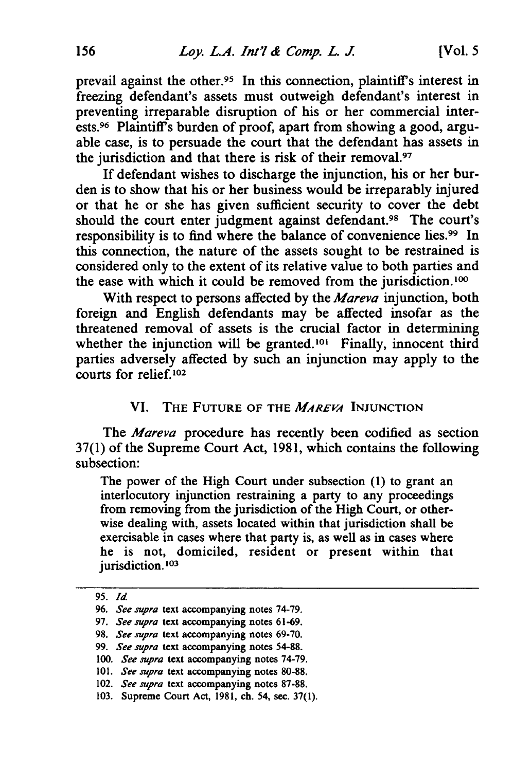prevail against the other.<sup>95</sup> In this connection, plaintiff's interest in freezing defendant's assets must outweigh defendant's interest in preventing irreparable disruption of his or her commercial interests.<sup>96</sup> Plaintiff's burden of proof, apart from showing a good, arguable case, is to persuade the court that the defendant has assets in the jurisdiction and that there is risk of their removal.<sup>97</sup>

If defendant wishes to discharge the injunction, his or her burden is to show that his or her business would be irreparably injured or that he or she has given sufficient security to cover the debt should the court enter judgment against defendant.<sup>98</sup> The court's responsibility is to find where the balance of convenience lies. 99 In this connection, the nature of the assets sought to be restrained is considered only to the extent of its relative value to both parties and the ease with which it could be removed from the jurisdiction. **1 l°**

With respect to persons affected by the *Mareva* injunction, both foreign and English defendants may be affected insofar as the threatened removal of assets is the crucial factor in determining whether the injunction will be granted.<sup>101</sup> Finally, innocent third parties adversely affected by such an injunction may apply to the courts for relief.<sup>102</sup>

#### VI. THE **FUTURE OF THE** *MAREVA* **INJUNCTION**

The *Aareva* procedure has recently been codified as section 37(1) of the Supreme Court Act, **1981,** which contains the following subsection:

The power of the High Court under subsection **(1)** to grant an interlocutory injunction restraining a party to any proceedings from removing from the jurisdiction of the High Court, or otherwise dealing with, assets located within that jurisdiction shall be exercisable in cases where that party is, as well as in cases where he is not, domiciled, resident or present within that jurisdiction.<sup>103</sup>

**<sup>95.</sup>** *Id*

*<sup>96.</sup> See supra* text accompanying notes 74-79.

<sup>97.</sup> *See supra* text accompanying notes 61-69.

<sup>98.</sup> *See supra* text accompanying notes 69-70.

<sup>99.</sup> *See supra* text accompanying notes 54-88.

*<sup>100.</sup> See supra* text accompanying notes 74-79.

<sup>101.</sup> *See supra* text accompanying notes 80-88.

<sup>102.</sup> *See supra* text accompanying notes 87-88.

<sup>103.</sup> Supreme Court Act, 1981, ch. 54, sec. 37(1).